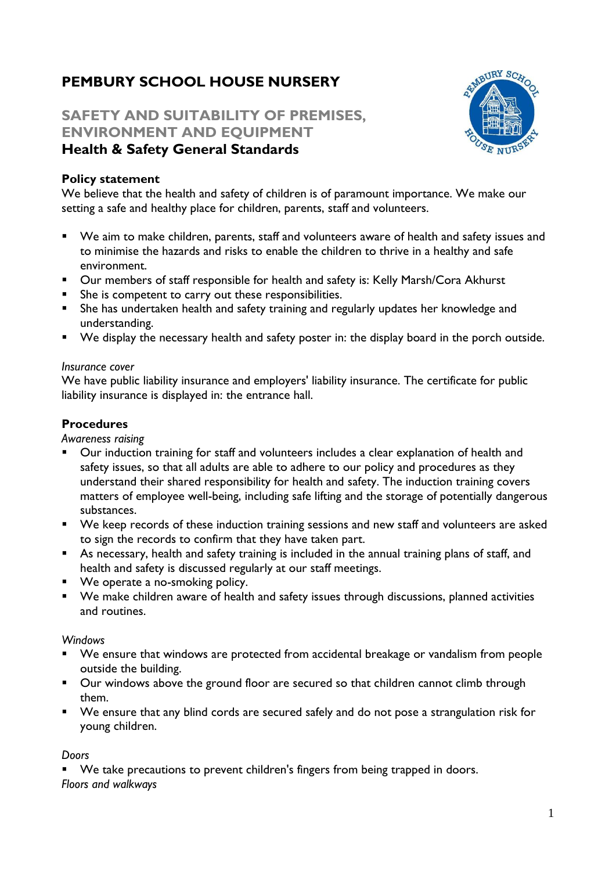# **PEMBURY SCHOOL HOUSE NURSERY**

# **SAFETY AND SUITABILITY OF PREMISES, ENVIRONMENT AND EQUIPMENT Health & Safety General Standards**



# **Policy statement**

We believe that the health and safety of children is of paramount importance. We make our setting a safe and healthy place for children, parents, staff and volunteers.

- We aim to make children, parents, staff and volunteers aware of health and safety issues and to minimise the hazards and risks to enable the children to thrive in a healthy and safe environment.
- Our members of staff responsible for health and safety is: Kelly Marsh/Cora Akhurst
- She is competent to carry out these responsibilities.
- She has undertaken health and safety training and regularly updates her knowledge and understanding.
- We display the necessary health and safety poster in: the display board in the porch outside.

#### *Insurance cover*

We have public liability insurance and employers' liability insurance. The certificate for public liability insurance is displayed in: the entrance hall.

# **Procedures**

*Awareness raising*

- Our induction training for staff and volunteers includes a clear explanation of health and safety issues, so that all adults are able to adhere to our policy and procedures as they understand their shared responsibility for health and safety. The induction training covers matters of employee well-being, including safe lifting and the storage of potentially dangerous substances.
- We keep records of these induction training sessions and new staff and volunteers are asked to sign the records to confirm that they have taken part.
- As necessary, health and safety training is included in the annual training plans of staff, and health and safety is discussed regularly at our staff meetings.
- We operate a no-smoking policy.
- We make children aware of health and safety issues through discussions, planned activities and routines.

#### *Windows*

- We ensure that windows are protected from accidental breakage or vandalism from people outside the building.
- Our windows above the ground floor are secured so that children cannot climb through them.
- We ensure that any blind cords are secured safely and do not pose a strangulation risk for young children.

#### *Doors*

We take precautions to prevent children's fingers from being trapped in doors. *Floors and walkways*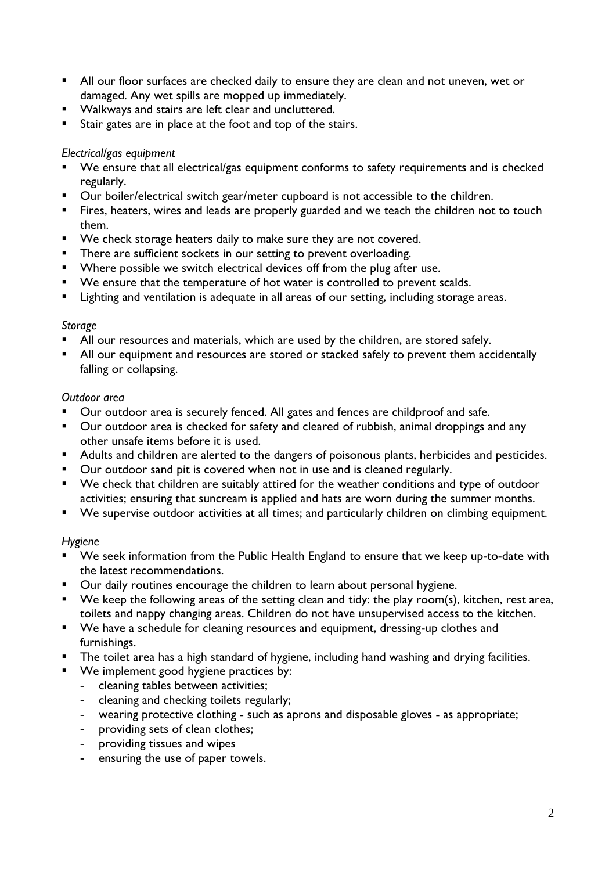- All our floor surfaces are checked daily to ensure they are clean and not uneven, wet or damaged. Any wet spills are mopped up immediately.
- Walkways and stairs are left clear and uncluttered.
- Stair gates are in place at the foot and top of the stairs.

### *Electrical/gas equipment*

- We ensure that all electrical/gas equipment conforms to safety requirements and is checked regularly.
- Our boiler/electrical switch gear/meter cupboard is not accessible to the children.
- **EXT** Fires, heaters, wires and leads are properly guarded and we teach the children not to touch them.
- We check storage heaters daily to make sure they are not covered.
- **There are sufficient sockets in our setting to prevent overloading.**
- Where possible we switch electrical devices off from the plug after use.
- We ensure that the temperature of hot water is controlled to prevent scalds.
- Lighting and ventilation is adequate in all areas of our setting, including storage areas.

#### *Storage*

- All our resources and materials, which are used by the children, are stored safely.
- All our equipment and resources are stored or stacked safely to prevent them accidentally falling or collapsing.

# *Outdoor area*

- Our outdoor area is securely fenced. All gates and fences are childproof and safe.
- Our outdoor area is checked for safety and cleared of rubbish, animal droppings and any other unsafe items before it is used.
- Adults and children are alerted to the dangers of poisonous plants, herbicides and pesticides.
- Our outdoor sand pit is covered when not in use and is cleaned regularly.
- We check that children are suitably attired for the weather conditions and type of outdoor activities; ensuring that suncream is applied and hats are worn during the summer months.
- We supervise outdoor activities at all times; and particularly children on climbing equipment.

#### *Hygiene*

- We seek information from the Public Health England to ensure that we keep up-to-date with the latest recommendations.
- Our daily routines encourage the children to learn about personal hygiene.
- We keep the following areas of the setting clean and tidy: the play room(s), kitchen, rest area, toilets and nappy changing areas. Children do not have unsupervised access to the kitchen.
- We have a schedule for cleaning resources and equipment, dressing-up clothes and furnishings.
- **•** The toilet area has a high standard of hygiene, including hand washing and drying facilities.
- We implement good hygiene practices by:
	- **-** cleaning tables between activities;
	- **-** cleaning and checking toilets regularly;
	- **-** wearing protective clothing such as aprons and disposable gloves as appropriate;
	- **-** providing sets of clean clothes;
	- **-** providing tissues and wipes
	- **-** ensuring the use of paper towels.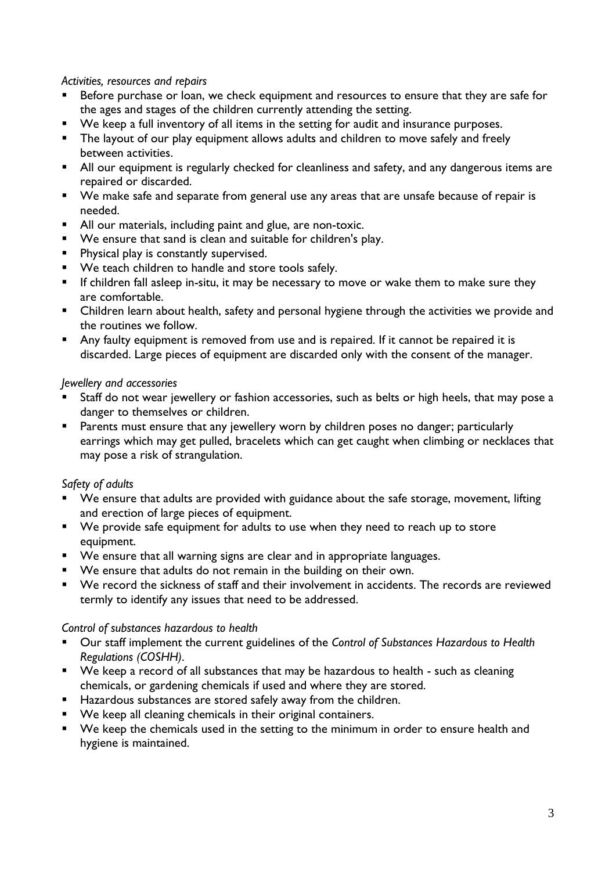# *Activities, resources and repairs*

- Before purchase or loan, we check equipment and resources to ensure that they are safe for the ages and stages of the children currently attending the setting.
- We keep a full inventory of all items in the setting for audit and insurance purposes.
- The layout of our play equipment allows adults and children to move safely and freely between activities.
- All our equipment is regularly checked for cleanliness and safety, and any dangerous items are repaired or discarded.
- We make safe and separate from general use any areas that are unsafe because of repair is needed.
- All our materials, including paint and glue, are non-toxic.
- We ensure that sand is clean and suitable for children's play.
- **•** Physical play is constantly supervised.
- We teach children to handle and store tools safely.
- **EXP** If children fall asleep in-situ, it may be necessary to move or wake them to make sure they are comfortable.
- Children learn about health, safety and personal hygiene through the activities we provide and the routines we follow.
- Any faulty equipment is removed from use and is repaired. If it cannot be repaired it is discarded. Large pieces of equipment are discarded only with the consent of the manager.

# *Jewellery and accessories*

- Staff do not wear jewellery or fashion accessories, such as belts or high heels, that may pose a danger to themselves or children.
- **E** Parents must ensure that any jewellery worn by children poses no danger; particularly earrings which may get pulled, bracelets which can get caught when climbing or necklaces that may pose a risk of strangulation.

# *Safety of adults*

- We ensure that adults are provided with guidance about the safe storage, movement, lifting and erection of large pieces of equipment.
- We provide safe equipment for adults to use when they need to reach up to store equipment.
- We ensure that all warning signs are clear and in appropriate languages.
- We ensure that adults do not remain in the building on their own.
- We record the sickness of staff and their involvement in accidents. The records are reviewed termly to identify any issues that need to be addressed.

#### *Control of substances hazardous to health*

- Our staff implement the current guidelines of the *Control of Substances Hazardous to Health Regulations (COSHH)*.
- We keep a record of all substances that may be hazardous to health such as cleaning chemicals, or gardening chemicals if used and where they are stored.
- Hazardous substances are stored safely away from the children.
- We keep all cleaning chemicals in their original containers.
- We keep the chemicals used in the setting to the minimum in order to ensure health and hygiene is maintained.